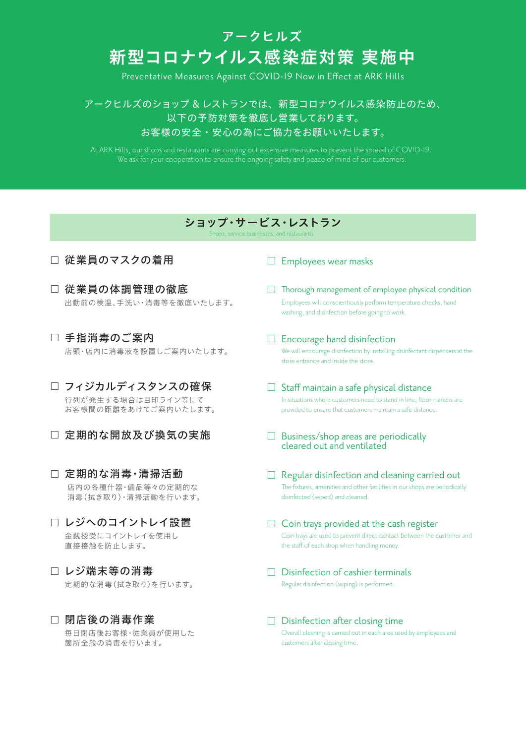## 新型コロナウイルス感染症対策 実施中 アークヒルズ

Preventative Measures Against COVID-19 Now in Effect at ARK Hills

アークヒルズのショップ & レストランでは、新型コロナウイルス感染防止のため、 以下の予防対策を徹底し営業しております。 お客様の安全・安心の為にご協力をお願いいたします。

We ask for your cooperation to ensure the ongoing safety and peace of mind of our customers.